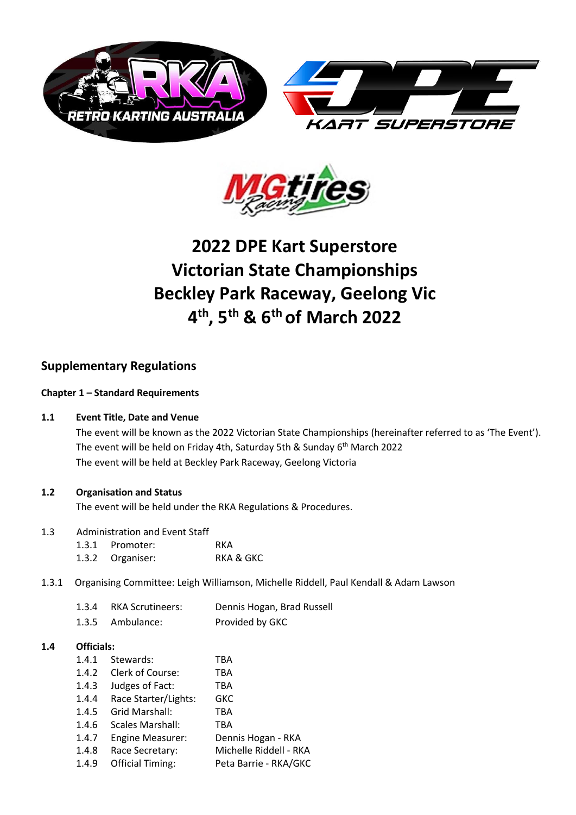



# **2022 DPE Kart Superstore Victorian State Championships Beckley Park Raceway, Geelong Vic 4 th, 5th & 6th of March 2022**

# **Supplementary Regulations**

# **Chapter 1 – Standard Requirements**

# **1.1 Event Title, Date and Venue**

The event will be known as the 2022 Victorian State Championships (hereinafter referred to as 'The Event'). The event will be held on Friday 4th, Saturday 5th & Sunday 6<sup>th</sup> March 2022 The event will be held at Beckley Park Raceway, Geelong Victoria

# **1.2 Organisation and Status**

The event will be held under the RKA Regulations & Procedures.

# 1.3 Administration and Event Staff

- 1.3.1 Promoter: RKA 1.3.2 Organiser: RKA & GKC
- 1.3.1 Organising Committee: Leigh Williamson, Michelle Riddell, Paul Kendall & Adam Lawson

| 1.3.4 | RKA Scrutineers: | Dennis Hogan, Brad Russell |
|-------|------------------|----------------------------|
|       | 1.3.5 Ambulance: | Provided by GKC            |

#### **1.4 Officials:**

| 1.4.1 | Stewards:               | TBA                    |
|-------|-------------------------|------------------------|
| 1.4.2 | Clerk of Course:        | TBA                    |
| 1.4.3 | Judges of Fact:         | TBA                    |
| 1.4.4 | Race Starter/Lights:    | GKC                    |
| 1.4.5 | Grid Marshall:          | TBA                    |
| 1.4.6 | Scales Marshall:        | TBA                    |
| 1.4.7 | <b>Engine Measurer:</b> | Dennis Hogan - RKA     |
| 1.4.8 | Race Secretary:         | Michelle Riddell - RKA |
| 1.4.9 | <b>Official Timing:</b> | Peta Barrie - RKA/GKC  |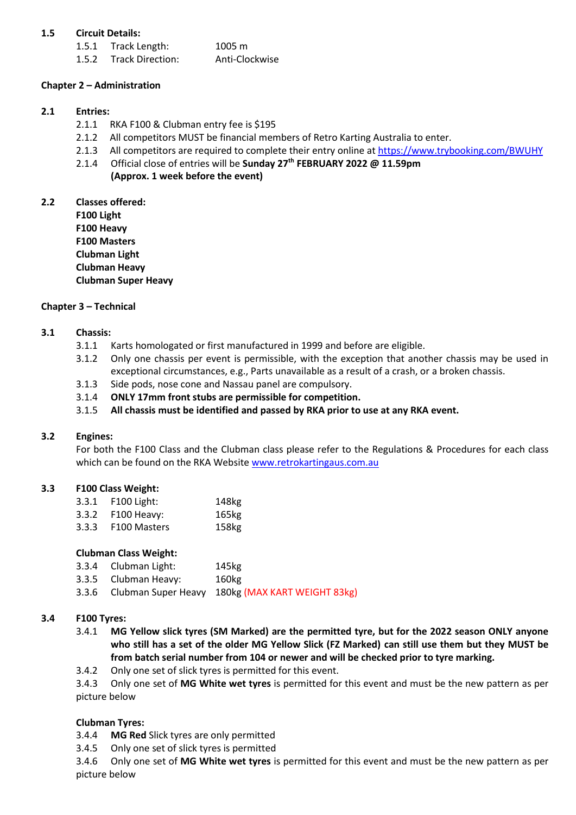# **1.5 Circuit Details:**

1.5.1 Track Length: 1005 m 1.5.2 Track Direction: Anti-Clockwise

# **Chapter 2 – Administration**

# **2.1 Entries:**

- 2.1.1 RKA F100 & Clubman entry fee is \$195
- 2.1.2 All competitors MUST be financial members of Retro Karting Australia to enter.
- 2.1.3 All competitors are required to complete their entry online a[t https://www.trybooking.com/BWUHY](https://www.trybooking.com/BWUHY)
	- 2.1.4 Official close of entries will be **Sunday 27th FEBRUARY 2022 @ 11.59pm** 
		- **(Approx. 1 week before the event)**

**2.2 Classes offered:**

**F100 Light F100 Heavy F100 Masters Clubman Light Clubman Heavy Clubman Super Heavy**

#### **Chapter 3 – Technical**

# **3.1 Chassis:**

- 3.1.1 Karts homologated or first manufactured in 1999 and before are eligible.
- 3.1.2 Only one chassis per event is permissible, with the exception that another chassis may be used in exceptional circumstances, e.g., Parts unavailable as a result of a crash, or a broken chassis.
- 3.1.3 Side pods, nose cone and Nassau panel are compulsory.
- 3.1.4 **ONLY 17mm front stubs are permissible for competition.**
- 3.1.5 **All chassis must be identified and passed by RKA prior to use at any RKA event.**

#### **3.2 Engines:**

For both the F100 Class and the Clubman class please refer to the Regulations & Procedures for each class which can be found on the RKA Website [www.retrokartingaus.com.au](http://www.retrokartingaus.com.au/)

#### **3.3 F100 Class Weight:**

3.3.1 F100 Light: 148kg 3.3.2 F100 Heavy: 165kg 3.3.3 F100 Masters 158kg

#### **Clubman Class Weight:**

- 3.3.4 Clubman Light: 145kg
- 3.3.5 Clubman Heavy: 160kg
- 3.3.6 Clubman Super Heavy 180kg (MAX KART WEIGHT 83kg)

#### **3.4 F100 Tyres:**

- 3.4.1 **MG Yellow slick tyres (SM Marked) are the permitted tyre, but for the 2022 season ONLY anyone who still has a set of the older MG Yellow Slick (FZ Marked) can still use them but they MUST be from batch serial number from 104 or newer and will be checked prior to tyre marking.**
- 3.4.2 Only one set of slick tyres is permitted for this event.

3.4.3 Only one set of **MG White wet tyres** is permitted for this event and must be the new pattern as per picture below

# **Clubman Tyres:**

- 3.4.4 **MG Red** Slick tyres are only permitted
- 3.4.5 Only one set of slick tyres is permitted

3.4.6 Only one set of **MG White wet tyres** is permitted for this event and must be the new pattern as per picture below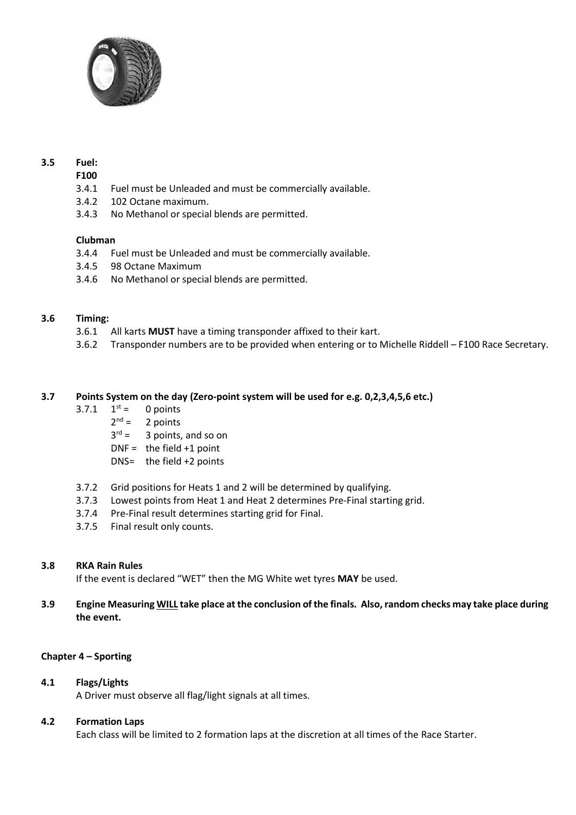

# **3.5 Fuel:**

#### **F100**

- 3.4.1 Fuel must be Unleaded and must be commercially available.
- 3.4.2 102 Octane maximum.
- 3.4.3 No Methanol or special blends are permitted.

# **Clubman**

- 3.4.4 Fuel must be Unleaded and must be commercially available.
- 3.4.5 98 Octane Maximum
- 3.4.6 No Methanol or special blends are permitted.

# **3.6 Timing:**

- 3.6.1 All karts **MUST** have a timing transponder affixed to their kart.
- 3.6.2 Transponder numbers are to be provided when entering or to Michelle Riddell F100 Race Secretary.

# **3.7 Points System on the day (Zero-point system will be used for e.g. 0,2,3,4,5,6 etc.)**

- $3.7.1 \quad 1^{st} =$ 0 points
	- $2^{nd} =$ 2 points
	- $3^{rd} =$ 3 points, and so on
	- $DNF =$  the field +1 point
	- DNS= the field +2 points
- 3.7.2 Grid positions for Heats 1 and 2 will be determined by qualifying.
- 3.7.3 Lowest points from Heat 1 and Heat 2 determines Pre-Final starting grid.
- 3.7.4 Pre-Final result determines starting grid for Final.
- 3.7.5 Final result only counts.

#### **3.8 RKA Rain Rules**

If the event is declared "WET" then the MG White wet tyres **MAY** be used.

# **3.9 Engine Measuring WILL take place at the conclusion of the finals. Also,random checks may take place during the event.**

# **Chapter 4 – Sporting**

# **4.1 Flags/Lights**

A Driver must observe all flag/light signals at all times.

#### **4.2 Formation Laps**

Each class will be limited to 2 formation laps at the discretion at all times of the Race Starter.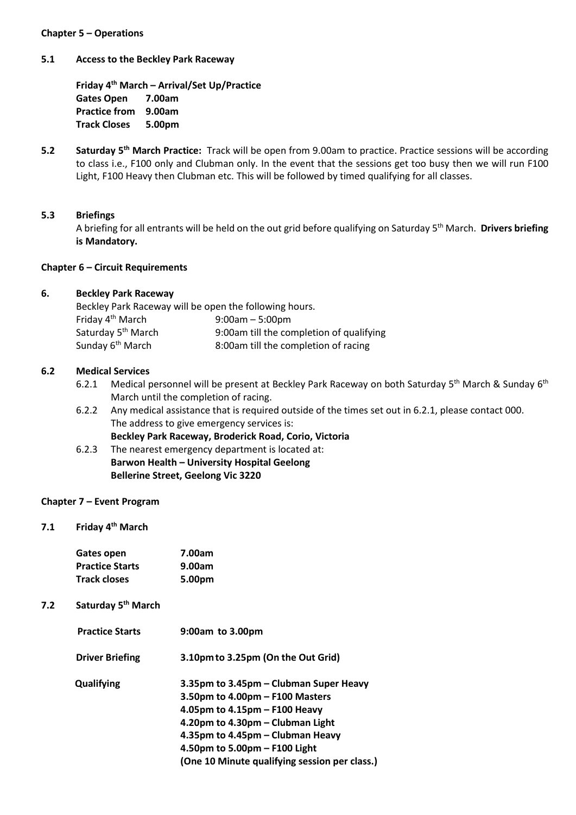#### **Chapter 5 – Operations**

#### **5.1 Access to the Beckley Park Raceway**

**Friday 4 th March – Arrival/Set Up/Practice Gates Open 7.00am Practice from 9.00am Track Closes 5.00pm**

**5.2 Saturday 5 th March Practice:** Track will be open from 9.00am to practice. Practice sessions will be according to class i.e., F100 only and Clubman only. In the event that the sessions get too busy then we will run F100 Light, F100 Heavy then Clubman etc. This will be followed by timed qualifying for all classes.

#### **5.3 Briefings**

A briefing for all entrants will be held on the out grid before qualifying on Saturday 5<sup>th</sup> March. Drivers briefing **is Mandatory.**

#### **Chapter 6 – Circuit Requirements**

#### **6. Beckley Park Raceway**

| Beckley Park Raceway will be open the following hours. |                                          |  |  |
|--------------------------------------------------------|------------------------------------------|--|--|
| Friday 4 <sup>th</sup> March                           | $9:00am - 5:00pm$                        |  |  |
| Saturday 5 <sup>th</sup> March                         | 9:00am till the completion of qualifying |  |  |
| Sunday 6 <sup>th</sup> March                           | 8:00am till the completion of racing     |  |  |

#### **6.2 Medical Services**

- 6.2.1 Medical personnel will be present at Beckley Park Raceway on both Saturday 5<sup>th</sup> March & Sunday 6<sup>th</sup> March until the completion of racing.
- 6.2.2 Any medical assistance that is required outside of the times set out in 6.2.1, please contact 000. The address to give emergency services is: **Beckley Park Raceway, Broderick Road, Corio, Victoria**
- 6.2.3 The nearest emergency department is located at: **Barwon Health – University Hospital Geelong Bellerine Street, Geelong Vic 3220**

#### **Chapter 7 – Event Program**

**7.1 Friday 4 th March**

| Gates open             | 7.00am |
|------------------------|--------|
| <b>Practice Starts</b> | 9.00am |
| Track closes           | 5.00pm |

# **7.2 Saturday 5 th March**

| <b>Practice Starts</b> | 9:00am to 3.00pm                              |
|------------------------|-----------------------------------------------|
| <b>Driver Briefing</b> | 3.10pm to 3.25pm (On the Out Grid)            |
| Qualifying             | 3.35pm to 3.45pm - Clubman Super Heavy        |
|                        | 3.50pm to $4.00$ pm $-$ F100 Masters          |
|                        | 4.05pm to $4.15$ pm – F100 Heavy              |
|                        | 4.20pm to 4.30pm - Clubman Light              |
|                        | 4.35pm to 4.45pm – Clubman Heavy              |
|                        | 4.50pm to 5.00pm $-$ F100 Light               |
|                        | (One 10 Minute qualifying session per class.) |